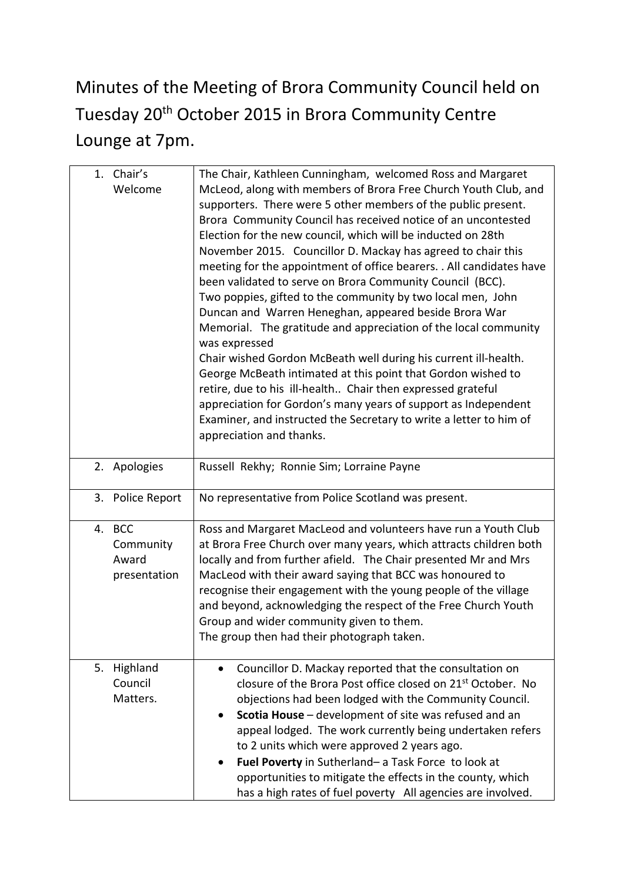## Minutes of the Meeting of Brora Community Council held on Tuesday 20th October 2015 in Brora Community Centre Lounge at 7pm.

|    | 1. Chair's<br>Welcome                            | The Chair, Kathleen Cunningham, welcomed Ross and Margaret<br>McLeod, along with members of Brora Free Church Youth Club, and<br>supporters. There were 5 other members of the public present.<br>Brora Community Council has received notice of an uncontested<br>Election for the new council, which will be inducted on 28th<br>November 2015. Councillor D. Mackay has agreed to chair this<br>meeting for the appointment of office bearers. . All candidates have<br>been validated to serve on Brora Community Council (BCC).<br>Two poppies, gifted to the community by two local men, John<br>Duncan and Warren Heneghan, appeared beside Brora War<br>Memorial. The gratitude and appreciation of the local community<br>was expressed<br>Chair wished Gordon McBeath well during his current ill-health.<br>George McBeath intimated at this point that Gordon wished to<br>retire, due to his ill-health Chair then expressed grateful<br>appreciation for Gordon's many years of support as Independent<br>Examiner, and instructed the Secretary to write a letter to him of<br>appreciation and thanks. |
|----|--------------------------------------------------|------------------------------------------------------------------------------------------------------------------------------------------------------------------------------------------------------------------------------------------------------------------------------------------------------------------------------------------------------------------------------------------------------------------------------------------------------------------------------------------------------------------------------------------------------------------------------------------------------------------------------------------------------------------------------------------------------------------------------------------------------------------------------------------------------------------------------------------------------------------------------------------------------------------------------------------------------------------------------------------------------------------------------------------------------------------------------------------------------------------------|
|    | 2. Apologies                                     | Russell Rekhy; Ronnie Sim; Lorraine Payne                                                                                                                                                                                                                                                                                                                                                                                                                                                                                                                                                                                                                                                                                                                                                                                                                                                                                                                                                                                                                                                                              |
| 3. | Police Report                                    | No representative from Police Scotland was present.                                                                                                                                                                                                                                                                                                                                                                                                                                                                                                                                                                                                                                                                                                                                                                                                                                                                                                                                                                                                                                                                    |
| 4. | <b>BCC</b><br>Community<br>Award<br>presentation | Ross and Margaret MacLeod and volunteers have run a Youth Club<br>at Brora Free Church over many years, which attracts children both<br>locally and from further afield. The Chair presented Mr and Mrs<br>MacLeod with their award saying that BCC was honoured to<br>recognise their engagement with the young people of the village<br>and beyond, acknowledging the respect of the Free Church Youth<br>Group and wider community given to them.<br>The group then had their photograph taken.                                                                                                                                                                                                                                                                                                                                                                                                                                                                                                                                                                                                                     |
| 5. | Highland<br>Council<br>Matters.                  | Councillor D. Mackay reported that the consultation on<br>closure of the Brora Post office closed on 21 <sup>st</sup> October. No<br>objections had been lodged with the Community Council.<br>Scotia House - development of site was refused and an<br>appeal lodged. The work currently being undertaken refers<br>to 2 units which were approved 2 years ago.<br>Fuel Poverty in Sutherland- a Task Force to look at<br>opportunities to mitigate the effects in the county, which<br>has a high rates of fuel poverty All agencies are involved.                                                                                                                                                                                                                                                                                                                                                                                                                                                                                                                                                                   |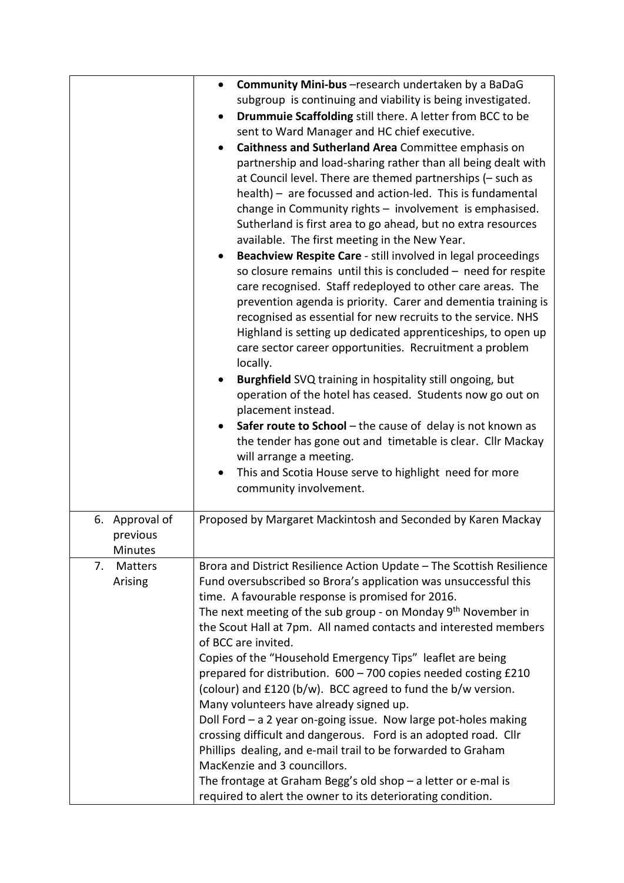|                                                                             | Community Mini-bus - research undertaken by a BaDaG<br>$\bullet$          |  |  |  |
|-----------------------------------------------------------------------------|---------------------------------------------------------------------------|--|--|--|
|                                                                             | subgroup is continuing and viability is being investigated.               |  |  |  |
|                                                                             | Drummuie Scaffolding still there. A letter from BCC to be<br>$\bullet$    |  |  |  |
|                                                                             | sent to Ward Manager and HC chief executive.                              |  |  |  |
|                                                                             | Caithness and Sutherland Area Committee emphasis on<br>$\bullet$          |  |  |  |
|                                                                             | partnership and load-sharing rather than all being dealt with             |  |  |  |
|                                                                             | at Council level. There are themed partnerships (- such as                |  |  |  |
|                                                                             | health) - are focussed and action-led. This is fundamental                |  |  |  |
|                                                                             | change in Community rights - involvement is emphasised.                   |  |  |  |
|                                                                             | Sutherland is first area to go ahead, but no extra resources              |  |  |  |
|                                                                             | available. The first meeting in the New Year.                             |  |  |  |
|                                                                             | Beachview Respite Care - still involved in legal proceedings<br>$\bullet$ |  |  |  |
|                                                                             | so closure remains until this is concluded - need for respite             |  |  |  |
|                                                                             | care recognised. Staff redeployed to other care areas. The                |  |  |  |
|                                                                             | prevention agenda is priority. Carer and dementia training is             |  |  |  |
|                                                                             | recognised as essential for new recruits to the service. NHS              |  |  |  |
|                                                                             | Highland is setting up dedicated apprenticeships, to open up              |  |  |  |
|                                                                             | care sector career opportunities. Recruitment a problem                   |  |  |  |
|                                                                             | locally.                                                                  |  |  |  |
|                                                                             | <b>Burghfield</b> SVQ training in hospitality still ongoing, but          |  |  |  |
|                                                                             | operation of the hotel has ceased. Students now go out on                 |  |  |  |
|                                                                             | placement instead.                                                        |  |  |  |
|                                                                             | Safer route to School - the cause of delay is not known as                |  |  |  |
|                                                                             | the tender has gone out and timetable is clear. Cllr Mackay               |  |  |  |
|                                                                             | will arrange a meeting.                                                   |  |  |  |
|                                                                             | This and Scotia House serve to highlight need for more                    |  |  |  |
|                                                                             | community involvement.                                                    |  |  |  |
|                                                                             |                                                                           |  |  |  |
| 6. Approval of                                                              | Proposed by Margaret Mackintosh and Seconded by Karen Mackay              |  |  |  |
| previous                                                                    |                                                                           |  |  |  |
| <b>Minutes</b>                                                              |                                                                           |  |  |  |
| <b>Matters</b><br>7.                                                        | Brora and District Resilience Action Update – The Scottish Resilience     |  |  |  |
| Fund oversubscribed so Brora's application was unsuccessful this<br>Arising |                                                                           |  |  |  |
|                                                                             | time. A favourable response is promised for 2016.                         |  |  |  |
|                                                                             | The next meeting of the sub group - on Monday 9 <sup>th</sup> November in |  |  |  |
|                                                                             | the Scout Hall at 7pm. All named contacts and interested members          |  |  |  |
|                                                                             | of BCC are invited.                                                       |  |  |  |
|                                                                             | Copies of the "Household Emergency Tips" leaflet are being                |  |  |  |
|                                                                             | prepared for distribution. 600 - 700 copies needed costing £210           |  |  |  |
|                                                                             | (colour) and £120 (b/w). BCC agreed to fund the b/w version.              |  |  |  |
|                                                                             | Many volunteers have already signed up.                                   |  |  |  |
|                                                                             | Doll Ford $-$ a 2 year on-going issue. Now large pot-holes making         |  |  |  |
|                                                                             | crossing difficult and dangerous. Ford is an adopted road. Cllr           |  |  |  |
|                                                                             | Phillips dealing, and e-mail trail to be forwarded to Graham              |  |  |  |
|                                                                             | MacKenzie and 3 councillors.                                              |  |  |  |
|                                                                             | The frontage at Graham Begg's old shop $-$ a letter or e-mal is           |  |  |  |
|                                                                             | required to alert the owner to its deteriorating condition.               |  |  |  |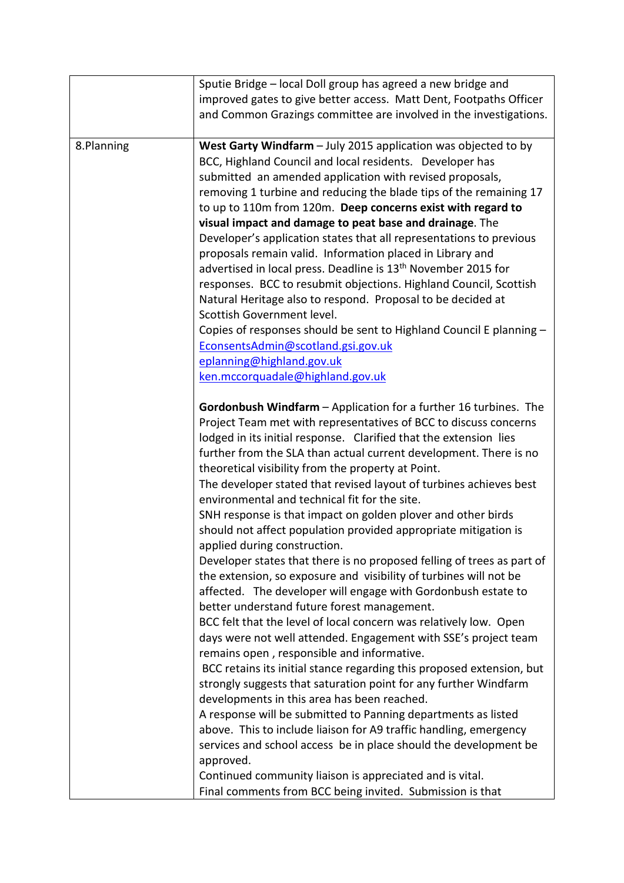|            | Sputie Bridge – local Doll group has agreed a new bridge and              |  |  |
|------------|---------------------------------------------------------------------------|--|--|
|            | improved gates to give better access. Matt Dent, Footpaths Officer        |  |  |
|            | and Common Grazings committee are involved in the investigations.         |  |  |
|            |                                                                           |  |  |
| 8.Planning | West Garty Windfarm - July 2015 application was objected to by            |  |  |
|            | BCC, Highland Council and local residents. Developer has                  |  |  |
|            | submitted an amended application with revised proposals,                  |  |  |
|            | removing 1 turbine and reducing the blade tips of the remaining 17        |  |  |
|            | to up to 110m from 120m. Deep concerns exist with regard to               |  |  |
|            | visual impact and damage to peat base and drainage. The                   |  |  |
|            | Developer's application states that all representations to previous       |  |  |
|            | proposals remain valid. Information placed in Library and                 |  |  |
|            | advertised in local press. Deadline is 13 <sup>th</sup> November 2015 for |  |  |
|            | responses. BCC to resubmit objections. Highland Council, Scottish         |  |  |
|            | Natural Heritage also to respond. Proposal to be decided at               |  |  |
|            | Scottish Government level.                                                |  |  |
|            | Copies of responses should be sent to Highland Council E planning -       |  |  |
|            | EconsentsAdmin@scotland.gsi.gov.uk                                        |  |  |
|            | eplanning@highland.gov.uk                                                 |  |  |
|            | ken.mccorquadale@highland.gov.uk                                          |  |  |
|            | Gordonbush Windfarm - Application for a further 16 turbines. The          |  |  |
|            | Project Team met with representatives of BCC to discuss concerns          |  |  |
|            | lodged in its initial response. Clarified that the extension lies         |  |  |
|            | further from the SLA than actual current development. There is no         |  |  |
|            | theoretical visibility from the property at Point.                        |  |  |
|            | The developer stated that revised layout of turbines achieves best        |  |  |
|            | environmental and technical fit for the site.                             |  |  |
|            | SNH response is that impact on golden plover and other birds              |  |  |
|            | should not affect population provided appropriate mitigation is           |  |  |
|            | applied during construction.                                              |  |  |
|            | Developer states that there is no proposed felling of trees as part of    |  |  |
|            | the extension, so exposure and visibility of turbines will not be         |  |  |
|            | affected. The developer will engage with Gordonbush estate to             |  |  |
|            | better understand future forest management.                               |  |  |
|            | BCC felt that the level of local concern was relatively low. Open         |  |  |
|            | days were not well attended. Engagement with SSE's project team           |  |  |
|            | remains open, responsible and informative.                                |  |  |
|            | BCC retains its initial stance regarding this proposed extension, but     |  |  |
|            | strongly suggests that saturation point for any further Windfarm          |  |  |
|            | developments in this area has been reached.                               |  |  |
|            | A response will be submitted to Panning departments as listed             |  |  |
|            | above. This to include liaison for A9 traffic handling, emergency         |  |  |
|            | services and school access be in place should the development be          |  |  |
|            | approved.                                                                 |  |  |
|            | Continued community liaison is appreciated and is vital.                  |  |  |
|            | Final comments from BCC being invited. Submission is that                 |  |  |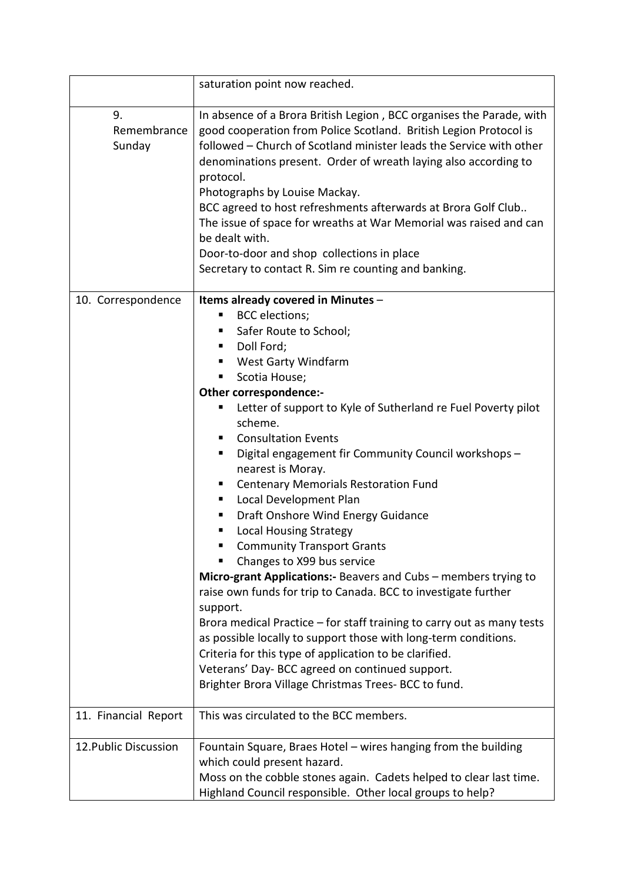|                             | saturation point now reached.                                                                                                                                                                                                                                                                                                                                                                                                                                                                                                                                                                   |
|-----------------------------|-------------------------------------------------------------------------------------------------------------------------------------------------------------------------------------------------------------------------------------------------------------------------------------------------------------------------------------------------------------------------------------------------------------------------------------------------------------------------------------------------------------------------------------------------------------------------------------------------|
| 9.<br>Remembrance<br>Sunday | In absence of a Brora British Legion, BCC organises the Parade, with<br>good cooperation from Police Scotland. British Legion Protocol is<br>followed - Church of Scotland minister leads the Service with other<br>denominations present. Order of wreath laying also according to<br>protocol.<br>Photographs by Louise Mackay.<br>BCC agreed to host refreshments afterwards at Brora Golf Club<br>The issue of space for wreaths at War Memorial was raised and can<br>be dealt with.<br>Door-to-door and shop collections in place<br>Secretary to contact R. Sim re counting and banking. |
| 10. Correspondence          | Items already covered in Minutes -                                                                                                                                                                                                                                                                                                                                                                                                                                                                                                                                                              |
|                             | <b>BCC</b> elections;                                                                                                                                                                                                                                                                                                                                                                                                                                                                                                                                                                           |
|                             | Safer Route to School;<br>٠                                                                                                                                                                                                                                                                                                                                                                                                                                                                                                                                                                     |
|                             | Doll Ford;<br>п                                                                                                                                                                                                                                                                                                                                                                                                                                                                                                                                                                                 |
|                             | West Garty Windfarm<br>Scotia House;<br>п                                                                                                                                                                                                                                                                                                                                                                                                                                                                                                                                                       |
|                             | Other correspondence:-                                                                                                                                                                                                                                                                                                                                                                                                                                                                                                                                                                          |
|                             | Letter of support to Kyle of Sutherland re Fuel Poverty pilot<br>п                                                                                                                                                                                                                                                                                                                                                                                                                                                                                                                              |
|                             | scheme.                                                                                                                                                                                                                                                                                                                                                                                                                                                                                                                                                                                         |
|                             | <b>Consultation Events</b><br>٠                                                                                                                                                                                                                                                                                                                                                                                                                                                                                                                                                                 |
|                             | Digital engagement fir Community Council workshops -<br>п                                                                                                                                                                                                                                                                                                                                                                                                                                                                                                                                       |
|                             | nearest is Moray.<br><b>Centenary Memorials Restoration Fund</b><br>п                                                                                                                                                                                                                                                                                                                                                                                                                                                                                                                           |
|                             | Local Development Plan<br>ш                                                                                                                                                                                                                                                                                                                                                                                                                                                                                                                                                                     |
|                             | Draft Onshore Wind Energy Guidance<br>п                                                                                                                                                                                                                                                                                                                                                                                                                                                                                                                                                         |
|                             | <b>Local Housing Strategy</b>                                                                                                                                                                                                                                                                                                                                                                                                                                                                                                                                                                   |
|                             | <b>Community Transport Grants</b>                                                                                                                                                                                                                                                                                                                                                                                                                                                                                                                                                               |
|                             | Changes to X99 bus service                                                                                                                                                                                                                                                                                                                                                                                                                                                                                                                                                                      |
|                             | Micro-grant Applications:- Beavers and Cubs - members trying to<br>raise own funds for trip to Canada. BCC to investigate further<br>support.                                                                                                                                                                                                                                                                                                                                                                                                                                                   |
|                             | Brora medical Practice – for staff training to carry out as many tests                                                                                                                                                                                                                                                                                                                                                                                                                                                                                                                          |
|                             | as possible locally to support those with long-term conditions.                                                                                                                                                                                                                                                                                                                                                                                                                                                                                                                                 |
|                             | Criteria for this type of application to be clarified.                                                                                                                                                                                                                                                                                                                                                                                                                                                                                                                                          |
|                             | Veterans' Day- BCC agreed on continued support.                                                                                                                                                                                                                                                                                                                                                                                                                                                                                                                                                 |
|                             | Brighter Brora Village Christmas Trees-BCC to fund.                                                                                                                                                                                                                                                                                                                                                                                                                                                                                                                                             |
| 11. Financial Report        | This was circulated to the BCC members.                                                                                                                                                                                                                                                                                                                                                                                                                                                                                                                                                         |
| 12. Public Discussion       | Fountain Square, Braes Hotel – wires hanging from the building                                                                                                                                                                                                                                                                                                                                                                                                                                                                                                                                  |
|                             | which could present hazard.                                                                                                                                                                                                                                                                                                                                                                                                                                                                                                                                                                     |
|                             | Moss on the cobble stones again. Cadets helped to clear last time.                                                                                                                                                                                                                                                                                                                                                                                                                                                                                                                              |
|                             | Highland Council responsible. Other local groups to help?                                                                                                                                                                                                                                                                                                                                                                                                                                                                                                                                       |